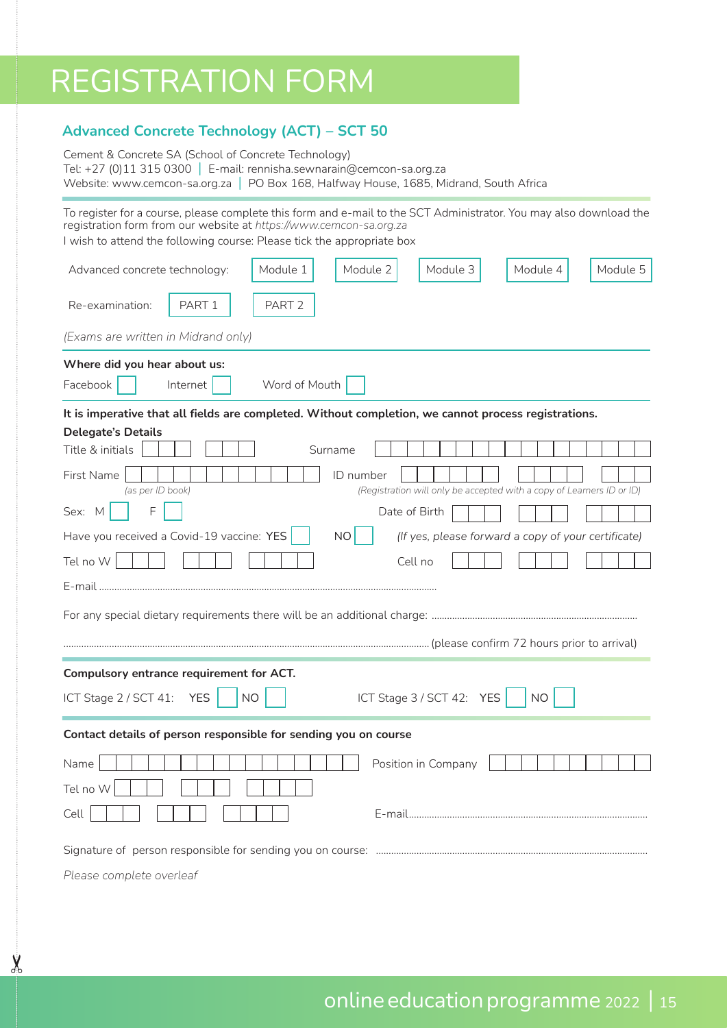## REGISTRATION FORM

 $\chi$ 

## **Advanced Concrete Technology (ACT) – SCT 50**

| Cement & Concrete SA (School of Concrete Technology)                       |                                                                                        |  |  |  |
|----------------------------------------------------------------------------|----------------------------------------------------------------------------------------|--|--|--|
| Tel: +27 (0)11 315 0300 $\mid$ E-mail: rennisha.sewnarain@cemcon-sa.org.za |                                                                                        |  |  |  |
|                                                                            | Website: www.cemcon-sa.org.za   PO Box 168, Halfway House, 1685, Midrand, South Africa |  |  |  |

To register for a course, please complete this form and e-mail to the SCT Administrator. You may also download the registration form from our website at *https://www.cemcon-sa.org.za*  I wish to attend the following course: Please tick the appropriate box

| Module 5<br>Module 1<br>Module 2<br>Module 3<br>Module 4<br>Advanced concrete technology:                            |  |  |  |  |  |  |  |
|----------------------------------------------------------------------------------------------------------------------|--|--|--|--|--|--|--|
| PART <sub>1</sub><br>Re-examination:<br>PART <sub>2</sub>                                                            |  |  |  |  |  |  |  |
| (Exams are written in Midrand only)                                                                                  |  |  |  |  |  |  |  |
| Where did you hear about us:<br>Word of Mouth<br>Facebook<br>Internet                                                |  |  |  |  |  |  |  |
| It is imperative that all fields are completed. Without completion, we cannot process registrations.                 |  |  |  |  |  |  |  |
| <b>Delegate's Details</b><br>Title & initials<br>Surname                                                             |  |  |  |  |  |  |  |
|                                                                                                                      |  |  |  |  |  |  |  |
| First Name<br>ID number<br>(Registration will only be accepted with a copy of Learners ID or ID)<br>(as per ID book) |  |  |  |  |  |  |  |
| F<br>Sex: M<br>Date of Birth                                                                                         |  |  |  |  |  |  |  |
| Have you received a Covid-19 vaccine: YES<br>NO<br>(If yes, please forward a copy of your certificate)               |  |  |  |  |  |  |  |
| Tel no W<br>Cell no                                                                                                  |  |  |  |  |  |  |  |
| E-mail                                                                                                               |  |  |  |  |  |  |  |
|                                                                                                                      |  |  |  |  |  |  |  |
|                                                                                                                      |  |  |  |  |  |  |  |
|                                                                                                                      |  |  |  |  |  |  |  |
| Compulsory entrance requirement for ACT.                                                                             |  |  |  |  |  |  |  |
| ICT Stage $3 / SCT 42$ : YES<br>ICT Stage 2 / SCT 41:<br><b>YES</b><br>NO.<br>NO.                                    |  |  |  |  |  |  |  |
| Contact details of person responsible for sending you on course                                                      |  |  |  |  |  |  |  |
| Name<br>Position in Company                                                                                          |  |  |  |  |  |  |  |
| Tel no W                                                                                                             |  |  |  |  |  |  |  |
| Cell                                                                                                                 |  |  |  |  |  |  |  |
|                                                                                                                      |  |  |  |  |  |  |  |
|                                                                                                                      |  |  |  |  |  |  |  |
| Please complete overleaf                                                                                             |  |  |  |  |  |  |  |